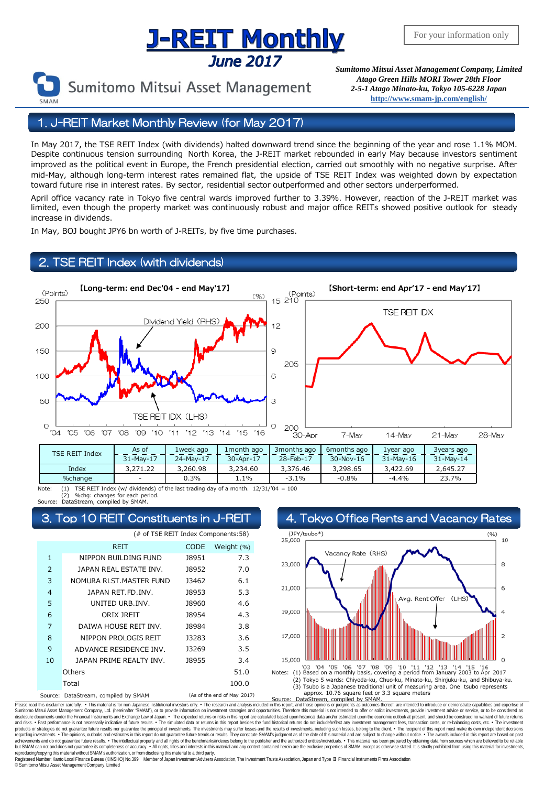# **Sumit And Supplem Control Control Control Control Control Control Control Control Control Control Control Control Control Control Control Control Control Control Control Control Control Control Control Control Control Con**



Sumitomo Mitsui Asset Management

*Atago Green Hills MORI Tower 28th Floor 2-5-1 Atago Minato-ku, Tokyo 105-6228 Japan* **<http://www.smam-jp.com/english/>**

## 1. J-REIT Market Monthly Review (for May 2017)

In May 2017, the TSE REIT Index (with dividends) halted downward trend since the beginning of the year and rose 1.1% MOM. Despite continuous tension surrounding North Korea, the J-REIT market rebounded in early May because investors sentiment improved as the political event in Europe, the French presidential election, carried out smoothly with no negative surprise. After mid-May, although long-term interest rates remained flat, the upside of TSE REIT Index was weighted down by expectation toward future rise in interest rates. By sector, residential sector outperformed and other sectors underperformed.

April office vacancy rate in Tokyo five central wards improved further to 3.39%. However, reaction of the J-REIT market was limited, even though the property market was continuously robust and major office REITs showed positive outlook for steady increase in dividends.

In May, BOJ bought JPY6 bn worth of J-REITs, by five time purchases.

## TSE REIT Index (with dividends)



Note: (1) TSE REIT Index (w/ dividends) of the last trading day of a month. 12/31/'04 = 100 (2) %chg: changes for each period.

DataStream, compiled by SMAM.

| (# of TSE REIT Index Components:58) |                                      |                             |            |
|-------------------------------------|--------------------------------------|-----------------------------|------------|
|                                     | <b>REIT</b>                          | <b>CODE</b>                 | Weight (%) |
| $\mathbf{1}$                        | NIPPON BUILDING FUND                 | J8951                       | 7.3        |
| 2                                   | JAPAN REAL ESTATE INV.               | 18952                       | 7.0        |
| 3                                   | NOMURA RLST.MASTER FUND              | 13462                       | 6.1        |
| $\overline{4}$                      | JAPAN RET.FD.INV.                    | 18953                       | 5.3        |
| 5                                   | UNITED URB.INV.                      | J8960                       | 4.6        |
| 6                                   | ORIX JREIT                           | 18954                       | 4.3        |
| 7                                   | DAIWA HOUSE REIT INV.                | 18984                       | 3.8        |
| 8                                   | NIPPON PROLOGIS REIT                 | 13283                       | 3.6        |
| 9                                   | ADVANCE RESIDENCE INV.               | 13269                       | 3.5        |
| 10                                  | JAPAN PRIME REALTY INV.              | <b>J8955</b>                | 3.4        |
|                                     | Others                               |                             | 51.0       |
|                                     | Total                                |                             | 100.0      |
|                                     | Source: DataStream, compiled by SMAM | (As of the end of May 2017) |            |



Please read this disclaimer carefuly. • This material is for non-Japanese institutional investors only. • The research and analysis included in this report, and those opinions or judgments as outcomes thereof, are intended disclosure documents under the Financial Instuments and Exchange Law of Japan. • The expected relums or risks in this report are calculated based upon historical data and/or estimated upon the economic outlook at present, regarding investments. • The opinions, outlooks and estimates in this report do not guarantee future trends or results. They constitute SMAM's judgment as of the date of this material and are subject to change without noti reproducing/copying this material without SMAM's authorization, or from disclosing this material to a third party Registered Number: Kanto Local Finance Bureau (KINSHO) No.399 Member of Japan Investment Advisers Association, The Investment Trusts Association, Japan and Type Ⅱ Financial Instruments Firms Association © SumitomoMitsui Asset Management Company, Limited